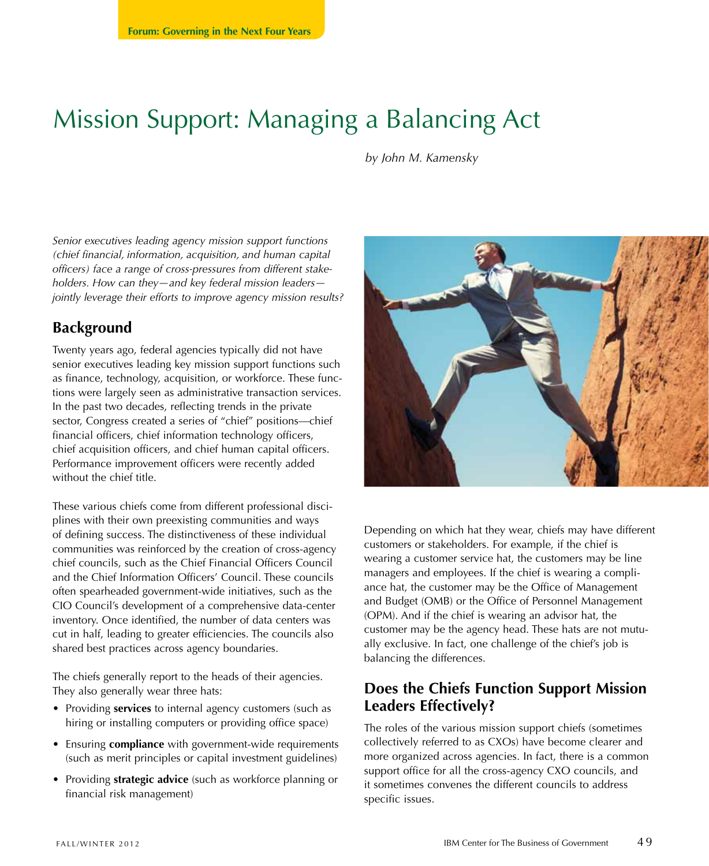# Mission Support: Managing a Balancing Act

*by John M. Kamensky*

*Senior executives leading agency mission support functions (chief financial, information, acquisition, and human capital officers) face a range of cross-pressures from different stakeholders. How can they—and key federal mission leaders jointly leverage their efforts to improve agency mission results?*

### **Background**

Twenty years ago, federal agencies typically did not have senior executives leading key mission support functions such as finance, technology, acquisition, or workforce. These functions were largely seen as administrative transaction services. In the past two decades, reflecting trends in the private sector, Congress created a series of "chief" positions—chief financial officers, chief information technology officers, chief acquisition officers, and chief human capital officers. Performance improvement officers were recently added without the chief title.

These various chiefs come from different professional disciplines with their own preexisting communities and ways of defining success. The distinctiveness of these individual communities was reinforced by the creation of cross-agency chief councils, such as the Chief Financial Officers Council and the Chief Information Officers' Council. These councils often spearheaded government-wide initiatives, such as the CIO Council's development of a comprehensive data-center inventory. Once identified, the number of data centers was cut in half, leading to greater efficiencies. The councils also shared best practices across agency boundaries.

The chiefs generally report to the heads of their agencies. They also generally wear three hats:

- Providing **services** to internal agency customers (such as hiring or installing computers or providing office space)
- Ensuring **compliance** with government-wide requirements (such as merit principles or capital investment guidelines)
- Providing **strategic advice** (such as workforce planning or financial risk management)



Depending on which hat they wear, chiefs may have different customers or stakeholders. For example, if the chief is wearing a customer service hat, the customers may be line managers and employees. If the chief is wearing a compliance hat, the customer may be the Office of Management and Budget (OMB) or the Office of Personnel Management (OPM). And if the chief is wearing an advisor hat, the customer may be the agency head. These hats are not mutually exclusive. In fact, one challenge of the chief's job is balancing the differences.

## **Does the Chiefs Function Support Mission Leaders Effectively?**

The roles of the various mission support chiefs (sometimes collectively referred to as CXOs) have become clearer and more organized across agencies. In fact, there is a common support office for all the cross-agency CXO councils, and it sometimes convenes the different councils to address specific issues.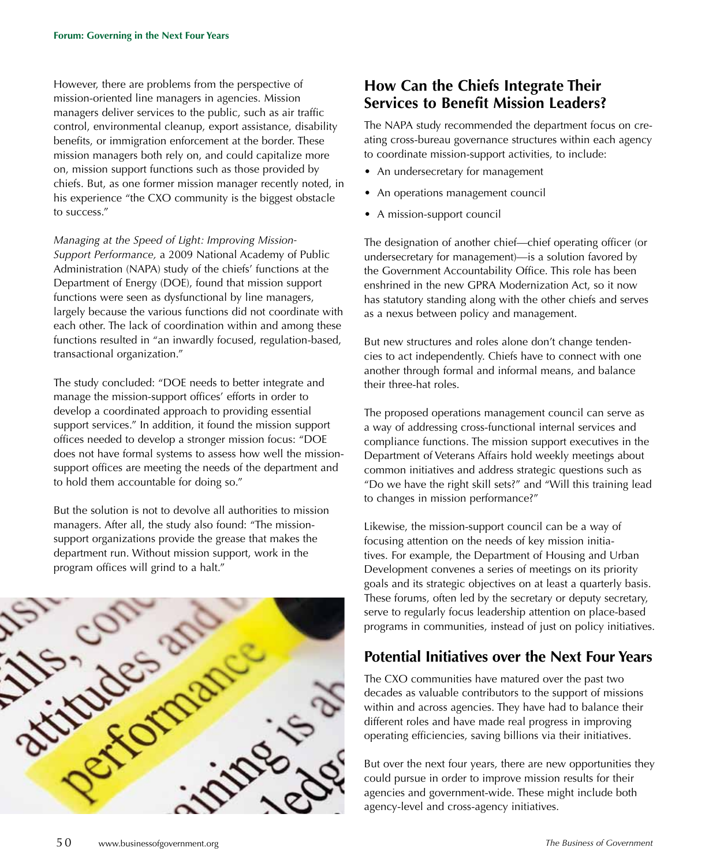However, there are problems from the perspective of mission-oriented line managers in agencies. Mission managers deliver services to the public, such as air traffic control, environmental cleanup, export assistance, disability benefits, or immigration enforcement at the border. These mission managers both rely on, and could capitalize more on, mission support functions such as those provided by chiefs. But, as one former mission manager recently noted, in his experience "the CXO community is the biggest obstacle to success."

*Managing at the Speed of Light: Improving Mission-Support Performance,* a 2009 National Academy of Public Administration (NAPA) study of the chiefs' functions at the Department of Energy (DOE), found that mission support functions were seen as dysfunctional by line managers, largely because the various functions did not coordinate with each other. The lack of coordination within and among these functions resulted in "an inwardly focused, regulation-based, transactional organization."

The study concluded: "DOE needs to better integrate and manage the mission-support offices' efforts in order to develop a coordinated approach to providing essential support services." In addition, it found the mission support offices needed to develop a stronger mission focus: "DOE does not have formal systems to assess how well the missionsupport offices are meeting the needs of the department and to hold them accountable for doing so."

But the solution is not to devolve all authorities to mission managers. After all, the study also found: "The missionsupport organizations provide the grease that makes the department run. Without mission support, work in the program offices will grind to a halt."



# **How Can the Chiefs Integrate Their Services to Benefit Mission Leaders?**

The NAPA study recommended the department focus on creating cross-bureau governance structures within each agency to coordinate mission-support activities, to include:

- An undersecretary for management
- An operations management council
- A mission-support council

The designation of another chief—chief operating officer (or undersecretary for management)—is a solution favored by the Government Accountability Office. This role has been enshrined in the new GPRA Modernization Act, so it now has statutory standing along with the other chiefs and serves as a nexus between policy and management.

But new structures and roles alone don't change tendencies to act independently. Chiefs have to connect with one another through formal and informal means, and balance their three-hat roles.

The proposed operations management council can serve as a way of addressing cross-functional internal services and compliance functions. The mission support executives in the Department of Veterans Affairs hold weekly meetings about common initiatives and address strategic questions such as "Do we have the right skill sets?" and "Will this training lead to changes in mission performance?"

Likewise, the mission-support council can be a way of focusing attention on the needs of key mission initiatives. For example, the Department of Housing and Urban Development convenes a series of meetings on its priority goals and its strategic objectives on at least a quarterly basis. These forums, often led by the secretary or deputy secretary, serve to regularly focus leadership attention on place-based programs in communities, instead of just on policy initiatives.

### **Potential Initiatives over the Next Four Years**

The CXO communities have matured over the past two decades as valuable contributors to the support of missions within and across agencies. They have had to balance their different roles and have made real progress in improving operating efficiencies, saving billions via their initiatives.

But over the next four years, there are new opportunities they could pursue in order to improve mission results for their agencies and government-wide. These might include both agency-level and cross-agency initiatives.